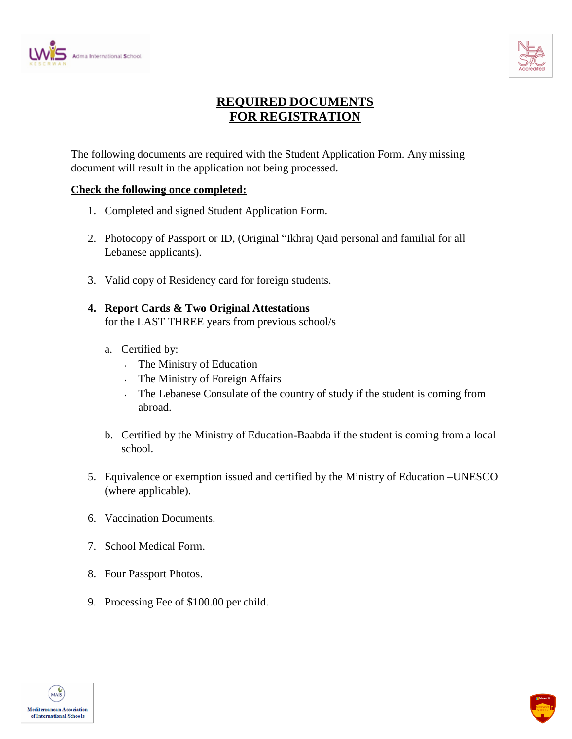



## **REQUIRED DOCUMENTS FOR REGISTRATION**

The following documents are required with the Student Application Form. Any missing document will result in the application not being processed.

## **Check the following once completed:**

- 1. Completed and signed Student Application Form.
- 2. Photocopy of Passport or ID, (Original "Ikhraj Qaid personal and familial for all Lebanese applicants).
- 3. Valid copy of Residency card for foreign students.
- **4. Report Cards & Two Original Attestations** for the LAST THREE years from previous school/s
	- a. Certified by:
		- $\hat{\mathbf{v}}$ The Ministry of Education
		- The Ministry of Foreign Affairs  $\hat{\mathbf{v}}$
		- $\mathbf{v}$ The Lebanese Consulate of the country of study if the student is coming from abroad.
	- b. Certified by the Ministry of Education-Baabda if the student is coming from a local school.
- 5. Equivalence or exemption issued and certified by the Ministry of Education –UNESCO (where applicable).
- 6. Vaccination Documents.
- 7. School Medical Form.
- 8. Four Passport Photos.
- 9. Processing Fee of \$100.00 per child.